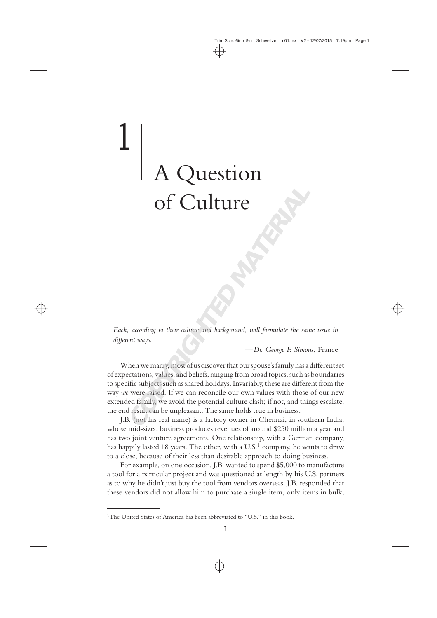Trim Size: 6in x 9in Schweitzer c01.tex V2 - 12/07/2015 7:19pm Page 1

# A Question of Culture

1

*Each, according to their culture and background, will formulate the same issue in different ways.*

—*Dr. George F. Simons*, France

When we marry, most of us discover that our spouse's family has a different set of expectations, values, and beliefs, ranging from broad topics, such as boundaries to specific subjects such as shared holidays. Invariably, these are different from the way *we* were raised. If we can reconcile our own values with those of our new extended family, we avoid the potential culture clash; if not, and things escalate, the end result can be unpleasant. The same holds true in business. **COPYRIGHTED**<br> **COPYRIGHTED**<br> *COPYRIGHTED*<br> *COPYRIGHTED*<br> *COPYRIGHTED*<br> *COPYRIGHTED*<br> *COPYRIGHTED*<br> *COPYRIGHTED*<br> *COPYRIGHTED*<br> *COPYRIGHTED*<br> *COPYRIGHTED*<br> *COPYRIGHTED*<br> *COPYRIGHTED*<br> *COPYRIGHTED*<br> *COPYRIGHTED* 

J.B. (not his real name) is a factory owner in Chennai, in southern India, whose mid-sized business produces revenues of around \$250 million a year and has two joint venture agreements. One relationship, with a German company, has happily lasted 18 years. The other, with a  $US<sup>1</sup>$  company, he wants to draw to a close, because of their less than desirable approach to doing business.

For example, on one occasion, J.B. wanted to spend \$5,000 to manufacture a tool for a particular project and was questioned at length by his U.S. partners as to why he didn't just buy the tool from vendors overseas. J.B. responded that these vendors did not allow him to purchase a single item, only items in bulk,

<sup>&</sup>lt;sup>1</sup>The United States of America has been abbreviated to "U.S." in this book.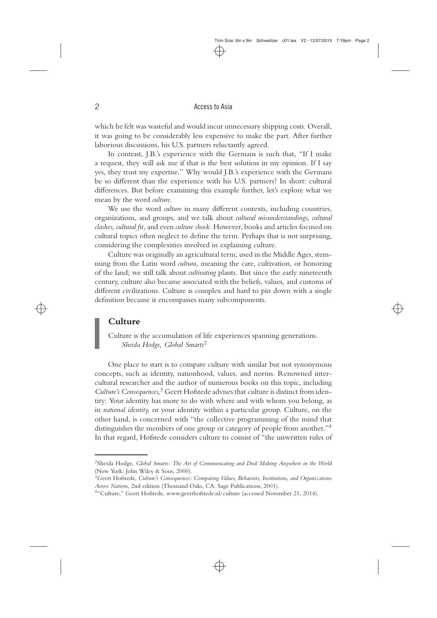### 2 Access to Asia

which he felt was wasteful and would incur unnecessary shipping costs. Overall, it was going to be considerably less expensive to make the part. After further laborious discussions, his U.S. partners reluctantly agreed.

In contrast, J.B.'s experience with the Germans is such that, "If I make a request, they will ask me if that is the best solution in my opinion. If I say yes, they trust my expertise." Why would J.B.'s experience with the Germans be so different than the experience with his U.S. partners? In short: cultural differences. But before examining this example further, let's explore what we mean by the word *culture*.

We use the word *culture* in many different contexts, including countries, organizations, and groups, and we talk about *cultural misunderstandings, cultural clashes, cultural fit,* and even *culture shock*. However, books and articles focused on cultural topics often neglect to define the term. Perhaps that is not surprising, considering the complexities involved in explaining culture.

Culture was originally an agricultural term, used in the Middle Ages, stemming from the Latin word *cultura,* meaning the care, cultivation, or honoring of the land; we still talk about *cultivating* plants. But since the early nineteenth century, culture also became associated with the beliefs, values, and customs of different civilizations. Culture is complex and hard to pin down with a single definition because it encompasses many subcomponents.

# **Culture**

Culture is the accumulation of life experiences spanning generations. *Sheida Hodge, Global Smarts*<sup>2</sup>

One place to start is to compare culture with similar but not synonymous concepts, such as identity, nationhood, values, and norms. Renowned intercultural researcher and the author of numerous books on this topic, including *Culture's Consequences,*<sup>3</sup> Geert Hofstede advises that culture is distinct from identity: Your identity has more to do with where and with whom you belong, as in *national identity,* or your identity within a particular group. Culture, on the other hand, is concerned with "the collective programming of the mind that distinguishes the members of one group or category of people from another."<sup>4</sup> In that regard, Hofstede considers culture to consist of "the unwritten rules of

<sup>2</sup>Sheida Hodge, *Global Smarts: The Art of Communicating and Deal Making Anywhere in the World* (New York: John Wiley & Sons, 2000).

<sup>3</sup>Geert Hofstede, *Culture's Consequences: Comparing Values, Behaviors, Institutions, and Organizations Across Nations,* 2nd edition (Thousand Oaks, CA: Sage Publications, 2001).

<sup>4&</sup>quot;Culture," Geert Hofstede, www.geerthofstede.nl/culture (accessed November 21, 2014).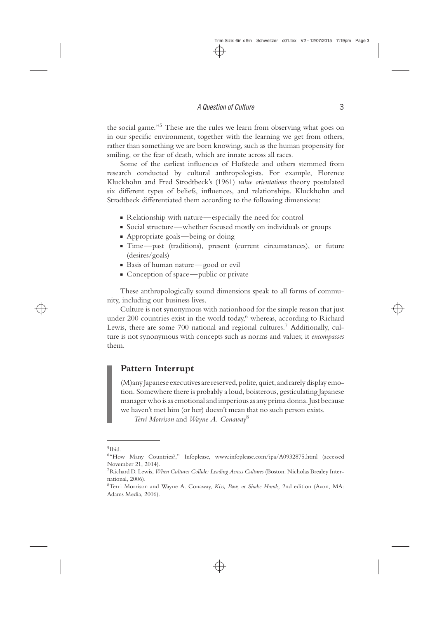### A Question of Culture 3

the social game."5 These are the rules we learn from observing what goes on in our specific environment, together with the learning we get from others, rather than something we are born knowing, such as the human propensity for smiling, or the fear of death, which are innate across all races.

Some of the earliest influences of Hofstede and others stemmed from research conducted by cultural anthropologists. For example, Florence Kluckhohn and Fred Strodtbeck's (1961) *value orientations* theory postulated six different types of beliefs, influences, and relationships. Kluckhohn and Strodtbeck differentiated them according to the following dimensions:

- Relationship with nature—especially the need for control
- Social structure—whether focused mostly on individuals or groups
- Appropriate goals—being or doing
- Time—past (traditions), present (current circumstances), or future (desires/goals)
- Basis of human nature—good or evil
- Conception of space—public or private

These anthropologically sound dimensions speak to all forms of community, including our business lives.

Culture is not synonymous with nationhood for the simple reason that just under 200 countries exist in the world today,<sup>6</sup> whereas, according to Richard Lewis, there are some 700 national and regional cultures.<sup>7</sup> Additionally, culture is not synonymous with concepts such as norms and values; it *encompasses* them.

# **Pattern Interrupt**

(M)any Japanese executives are reserved, polite, quiet, and rarely display emotion. Somewhere there is probably a loud, boisterous, gesticulating Japanese manager who is as emotional and imperious as any prima donna. Just because we haven't met him (or her) doesn't mean that no such person exists.

*Terri Morrison* and *Wayne A. Conaway*<sup>8</sup>

<sup>5</sup>Ibid.

<sup>6&</sup>quot;How Many Countries?," Infoplease, www.infoplease.com/ipa/A0932875.html (accessed November 21, 2014).

<sup>7</sup>Richard D. Lewis, *When Cultures Collide: Leading Across Cultures* (Boston: Nicholas Brealey International, 2006).

<sup>8</sup>Terri Morrison and Wayne A. Conaway, *Kiss, Bow, or Shake Hands,* 2nd edition (Avon, MA: Adams Media, 2006).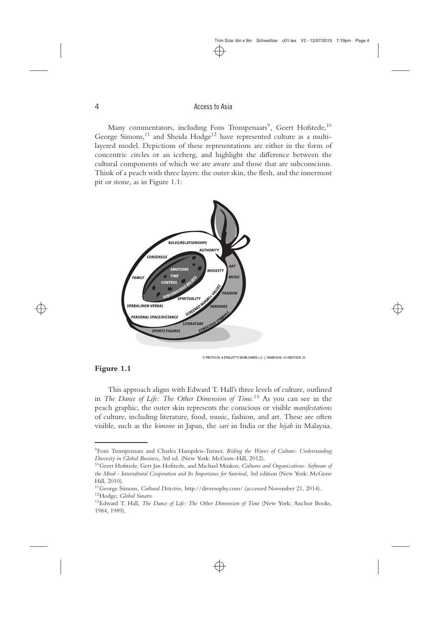Trim Size: 6in x 9in Schweitzer c01.tex V2 - 12/07/2015 7:19pm Page 4  $\oplus$ 

#### 4 Access to Asia

Many commentators, including Fons Trompenaars<sup>9</sup>, Geert Hofstede,<sup>10</sup> George Simons,<sup>11</sup> and Sheida Hodge<sup>12</sup> have represented culture as a multilayered model. Depictions of these representations are either in the form of concentric circles or an iceberg, and highlight the difference between the cultural components of which we are aware and those that are subconscious. Think of a peach with three layers: the outer skin, the flesh, and the innermost pit or stone, as in Figure 1.1:



© PROTOCOL & ETIOUETTE WORLDWIDE LLC | SHARON M. SCHWEITZER. JD

## **Figure 1.1**

This approach aligns with Edward T. Hall's three levels of culture, outlined in *The Dance of Life: The Other Dimension of Time.*<sup>13</sup> As you can see in the peach graphic, the outer skin represents the conscious or visible *manifestations* of culture, including literature, food, music, fashion, and art. These are often visible, such as the *kimono* in Japan, the *sari* in India or the *hijab* in Malaysia.

<sup>9</sup>Fons Trompenaars and Charles Hampden-Turner, *Riding the Waves of Culture: Understanding Diversity in Global Business*, 3rd ed. (New York: McGraw-Hill, 2012).

<sup>10</sup>Geert Hofstede, Gert Jan Hofstede, and Michael Minkov, *Cultures and Organizations: Software of the Mind - Intercultural Cooperation and Its Importance for Survival,* 3rd edition (New York: McGraw Hill, 2010).

<sup>11</sup>George Simons, *Cultural Detective,* http://diversophy.com/ (accessed November 21, 2014). 12Hodge, *Global Smarts.*

<sup>13</sup>Edward T. Hall, *The Dance of Life: The Other Dimension of Time* (New York: Anchor Books, 1984, 1989).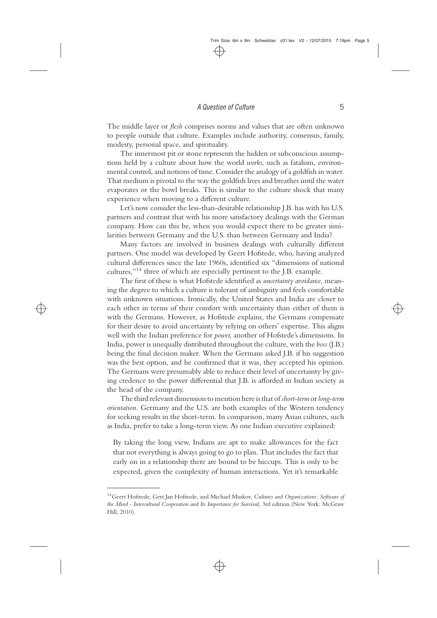#### A Question of Culture 5

The middle layer or *flesh* comprises norms and values that are often unknown to people outside that culture. Examples include authority, consensus, family, modesty, personal space, and spirituality.

The innermost pit or stone represents the hidden or subconscious assumptions held by a culture about how the world *works,* such as fatalism, environmental control, and notions of time. Consider the analogy of a goldfish in water. That medium is pivotal to the way the goldfish lives and breathes until the water evaporates or the bowl breaks. This is similar to the culture shock that many experience when moving to a different culture.

Let's now consider the less-than-desirable relationship J.B. has with his U.S. partners and contrast that with his more satisfactory dealings with the German company. How can this be, when you would expect there to be greater similarities between Germany and the U.S. than between Germany and India?

Many factors are involved in business dealings with culturally different partners. One model was developed by Geert Hofstede, who, having analyzed cultural differences since the late 1960s, identified six "dimensions of national cultures,"14 three of which are especially pertinent to the J.B. example.

The first of these is what Hofstede identified as *uncertainty avoidance,* meaning the degree to which a culture is tolerant of ambiguity and feels comfortable with unknown situations. Ironically, the United States and India are closer to each other in terms of their comfort with uncertainty than either of them is with the Germans. However, as Hofstede explains, the Germans compensate for their desire to avoid uncertainty by relying on others' expertise. This aligns well with the Indian preference for *power,* another of Hofstede's dimensions. In India, power is unequally distributed throughout the culture, with the *boss* (J.B.) being the final decision maker. When the Germans asked J.B. if his suggestion was the best option, and he confirmed that it was, they accepted his opinion. The Germans were presumably able to reduce their level of uncertainty by giving credence to the power differential that J.B. is afforded in Indian society as the head of the company.

The third relevant dimension to mention here is that of *short-term*or*long-term orientation.* Germany and the U.S. are both examples of the Western tendency for seeking results in the short-term. In comparison, many Asian cultures, such as India, prefer to take a long-term view. As one Indian executive explained:

By taking the long view, Indians are apt to make allowances for the fact that not everything is always going to go to plan. That includes the fact that early on in a relationship there are bound to be hiccups. This is only to be expected, given the complexity of human interactions. Yet it's remarkable

<sup>14</sup>Geert Hofstede, Gert Jan Hofstede, and Michael Minkov, *Cultures and Organizations: Software of the Mind - Intercultural Cooperation and Its Importance for Survival,* 3rd edition (New York: McGraw Hill, 2010).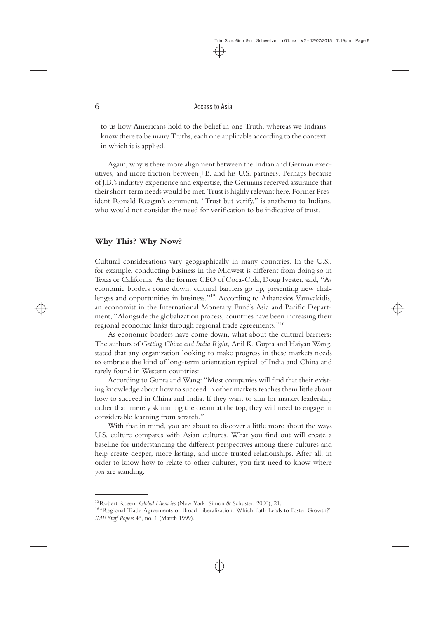### 6 Access to Asia

to us how Americans hold to the belief in one Truth, whereas we Indians know there to be many Truths, each one applicable according to the context in which it is applied.

Again, why is there more alignment between the Indian and German executives, and more friction between J.B. and his U.S. partners? Perhaps because of J.B.'s industry experience and expertise, the Germans received assurance that their short-term needs would be met. Trust is highly relevant here. Former President Ronald Reagan's comment, "Trust but verify," is anathema to Indians, who would not consider the need for verification to be indicative of trust.

## **Why This? Why Now?**

Cultural considerations vary geographically in many countries. In the U.S., for example, conducting business in the Midwest is different from doing so in Texas or California. As the former CEO of Coca-Cola, Doug Ivester, said, "As economic borders come down, cultural barriers go up, presenting new challenges and opportunities in business."<sup>15</sup> According to Athanasios Vamvakidis, an economist in the International Monetary Fund's Asia and Pacific Department, "Alongside the globalization process, countries have been increasing their regional economic links through regional trade agreements."<sup>16</sup>

As economic borders have come down, what about the cultural barriers? The authors of *Getting China and India Right,* Anil K. Gupta and Haiyan Wang, stated that any organization looking to make progress in these markets needs to embrace the kind of long-term orientation typical of India and China and rarely found in Western countries:

According to Gupta and Wang: "Most companies will find that their existing knowledge about how to succeed in other markets teaches them little about how to succeed in China and India. If they want to aim for market leadership rather than merely skimming the cream at the top, they will need to engage in considerable learning from scratch."

With that in mind, you are about to discover a little more about the ways U.S. culture compares with Asian cultures. What you find out will create a baseline for understanding the different perspectives among these cultures and help create deeper, more lasting, and more trusted relationships. After all, in order to know how to relate to other cultures, you first need to know where *you* are standing.

<sup>15</sup>Robert Rosen, *Global Literacies* (New York: Simon & Schuster, 2000), 21.

<sup>16&</sup>quot;Regional Trade Agreements or Broad Liberalization: Which Path Leads to Faster Growth?" *IMF Staff Papers* 46, no. 1 (March 1999).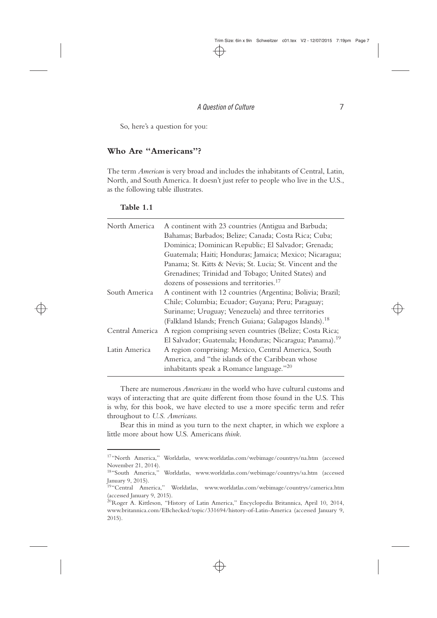#### A Question of Culture 7

So, here's a question for you:

# **Who Are "Americans"?**

The term *American* is very broad and includes the inhabitants of Central, Latin, North, and South America. It doesn't just refer to people who live in the U.S., as the following table illustrates.

#### **Table 1.1**

| North America   | A continent with 23 countries (Antigua and Barbuda;                 |
|-----------------|---------------------------------------------------------------------|
|                 | Bahamas; Barbados; Belize; Canada; Costa Rica; Cuba;                |
|                 | Dominica; Dominican Republic; El Salvador; Grenada;                 |
|                 | Guatemala; Haiti; Honduras; Jamaica; Mexico; Nicaragua;             |
|                 | Panama; St. Kitts & Nevis; St. Lucia; St. Vincent and the           |
|                 | Grenadines; Trinidad and Tobago; United States) and                 |
|                 | dozens of possessions and territories. <sup>17</sup>                |
| South America   | A continent with 12 countries (Argentina; Bolivia; Brazil;          |
|                 | Chile; Columbia; Ecuador; Guyana; Peru; Paraguay;                   |
|                 | Suriname; Uruguay; Venezuela) and three territories                 |
|                 | (Falkland Islands; French Guiana; Galapagos Islands). <sup>18</sup> |
| Central America | A region comprising seven countries (Belize; Costa Rica;            |
|                 | El Salvador; Guatemala; Honduras; Nicaragua; Panama). <sup>19</sup> |
| Latin America   | A region comprising: Mexico, Central America, South                 |
|                 | America, and "the islands of the Caribbean whose                    |
|                 | inhabitants speak a Romance language." $^{20}$                      |
|                 |                                                                     |

There are numerous *Americans* in the world who have cultural customs and ways of interacting that are quite different from those found in the U.S. This is why, for this book, we have elected to use a more specific term and refer throughout to *U.S. Americans.*

Bear this in mind as you turn to the next chapter, in which we explore a little more about how U.S. Americans *think*.

<sup>17&</sup>quot;North America," Worldatlas, www.worldatlas.com/webimage/countrys/na.htm (accessed November 21, 2014).<br><sup>18</sup>"South America,"

Worldatlas, www.worldatlas.com/webimage/countrys/sa.htm (accessed January 9, 2015).

<sup>&</sup>lt;sup>19"</sup>Central America," Worldatlas, www.worldatlas.com/webimage/countrys/camerica.htm (accessed January 9, 2015).

 $^{20}$ Roger A. Kittleson, "History of Latin America," Encyclopedia Britannica, April 10, 2014, www.britannica.com/EBchecked/topic/331694/history-of-Latin-America (accessed January 9, 2015).